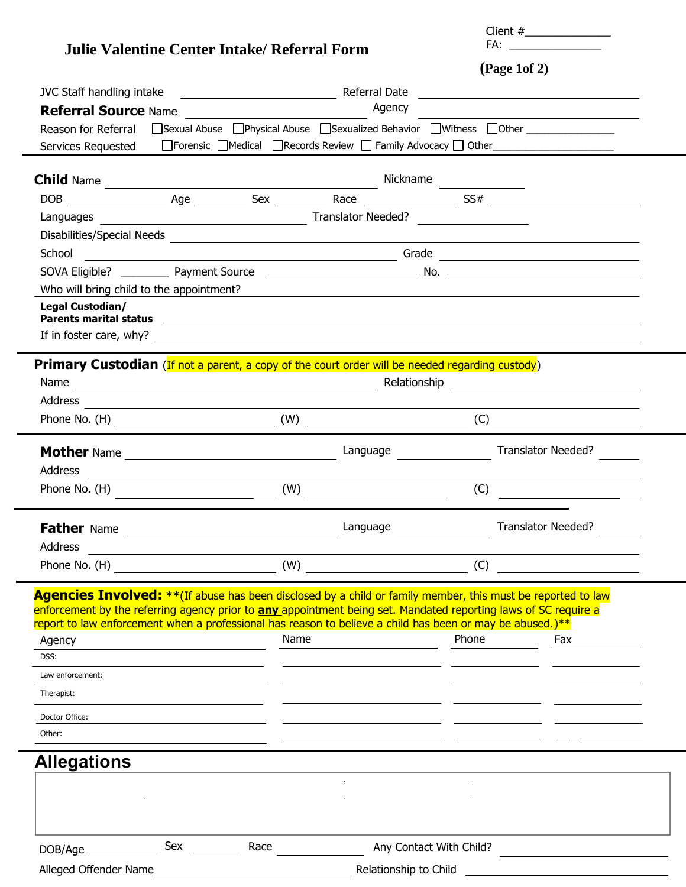|                                                                                                                                                                                                                                                     |                                           | FA:                       |
|-----------------------------------------------------------------------------------------------------------------------------------------------------------------------------------------------------------------------------------------------------|-------------------------------------------|---------------------------|
| Julie Valentine Center Intake/ Referral Form                                                                                                                                                                                                        | $(\text{Page 1of 2})$                     |                           |
|                                                                                                                                                                                                                                                     |                                           |                           |
| Agency                                                                                                                                                                                                                                              |                                           |                           |
| <b>Referral Source Name Manual Construction of August 2016</b><br>Reason for Referral<br>□ Sexual Abuse  □ Physical Abuse  □ Sexualized Behavior  □ Witness  □ Other                                                                                |                                           |                           |
| Services Requested                                                                                                                                                                                                                                  |                                           |                           |
|                                                                                                                                                                                                                                                     |                                           |                           |
|                                                                                                                                                                                                                                                     |                                           |                           |
|                                                                                                                                                                                                                                                     |                                           |                           |
|                                                                                                                                                                                                                                                     |                                           |                           |
|                                                                                                                                                                                                                                                     |                                           |                           |
|                                                                                                                                                                                                                                                     |                                           |                           |
|                                                                                                                                                                                                                                                     |                                           |                           |
| Who will bring child to the appointment? Manual Contract Contract Contract Contract Contract Contract Contract Contract Contract Contract Contract Contract Contract Contract Contract Contract Contract Contract Contract Con                      |                                           |                           |
| Legal Custodian/                                                                                                                                                                                                                                    |                                           |                           |
|                                                                                                                                                                                                                                                     |                                           |                           |
|                                                                                                                                                                                                                                                     |                                           |                           |
| <b>Primary Custodian</b> (If not a parent, a copy of the court order will be needed regarding custody)                                                                                                                                              |                                           |                           |
|                                                                                                                                                                                                                                                     |                                           |                           |
|                                                                                                                                                                                                                                                     |                                           |                           |
| Phone No. (H) $(W)$ (W) $(C)$ (C) $(C)$ (M) $(C)$ (C) $(C)$ (M) $(C)$ (M) $(C)$ (M) $(C)$ (M) $(C)$ (M) $(C)$ (M) $(C)$ (M) $(C)$ (M) $(C)$ (M) $(C)$ (M) $(C)$ (M) $(C)$ (M) $(C)$ (M) $(C)$ (M) $(C)$ (M) $(C)$ (M) $(C)$ (M) $(C)$ (M) $(C)$ (M) |                                           |                           |
|                                                                                                                                                                                                                                                     |                                           | <b>Translator Needed?</b> |
| Address                                                                                                                                                                                                                                             |                                           |                           |
| <u> Alexandria de la contrada de la contrada de la contrada de la contrada de la contrada de la contrada de la c</u><br>Phone No. (H) $\overline{\qquad \qquad }$                                                                                   |                                           |                           |
|                                                                                                                                                                                                                                                     |                                           | (C)                       |
| Language<br><b>Father Name</b>                                                                                                                                                                                                                      |                                           | <b>Translator Needed?</b> |
| Address                                                                                                                                                                                                                                             |                                           |                           |
| Phone No. $(H)$ (W) $(W)$                                                                                                                                                                                                                           | (C)                                       |                           |
|                                                                                                                                                                                                                                                     |                                           |                           |
| <b>Agencies Involved:</b> ** (If abuse has been disclosed by a child or family member, this must be reported to law<br>enforcement by the referring agency prior to any appointment being set. Mandated reporting laws of SC require a              |                                           |                           |
| report to law enforcement when a professional has reason to believe a child has been or may be abused.) **                                                                                                                                          |                                           |                           |
| Name<br>Agency                                                                                                                                                                                                                                      | Phone                                     | Fax                       |
| DSS:                                                                                                                                                                                                                                                |                                           |                           |
| Law enforcement:                                                                                                                                                                                                                                    |                                           |                           |
| Therapist:                                                                                                                                                                                                                                          |                                           |                           |
| Doctor Office:                                                                                                                                                                                                                                      |                                           |                           |
| Other:                                                                                                                                                                                                                                              |                                           |                           |
| <b>Allegations</b>                                                                                                                                                                                                                                  |                                           |                           |
|                                                                                                                                                                                                                                                     |                                           |                           |
|                                                                                                                                                                                                                                                     |                                           |                           |
|                                                                                                                                                                                                                                                     |                                           |                           |
|                                                                                                                                                                                                                                                     |                                           |                           |
| Sex Race                                                                                                                                                                                                                                            | Any Contact With Child?                   |                           |
| Alleged Offender Name                                                                                                                                                                                                                               | Relationship to Child <b>Example 2018</b> |                           |